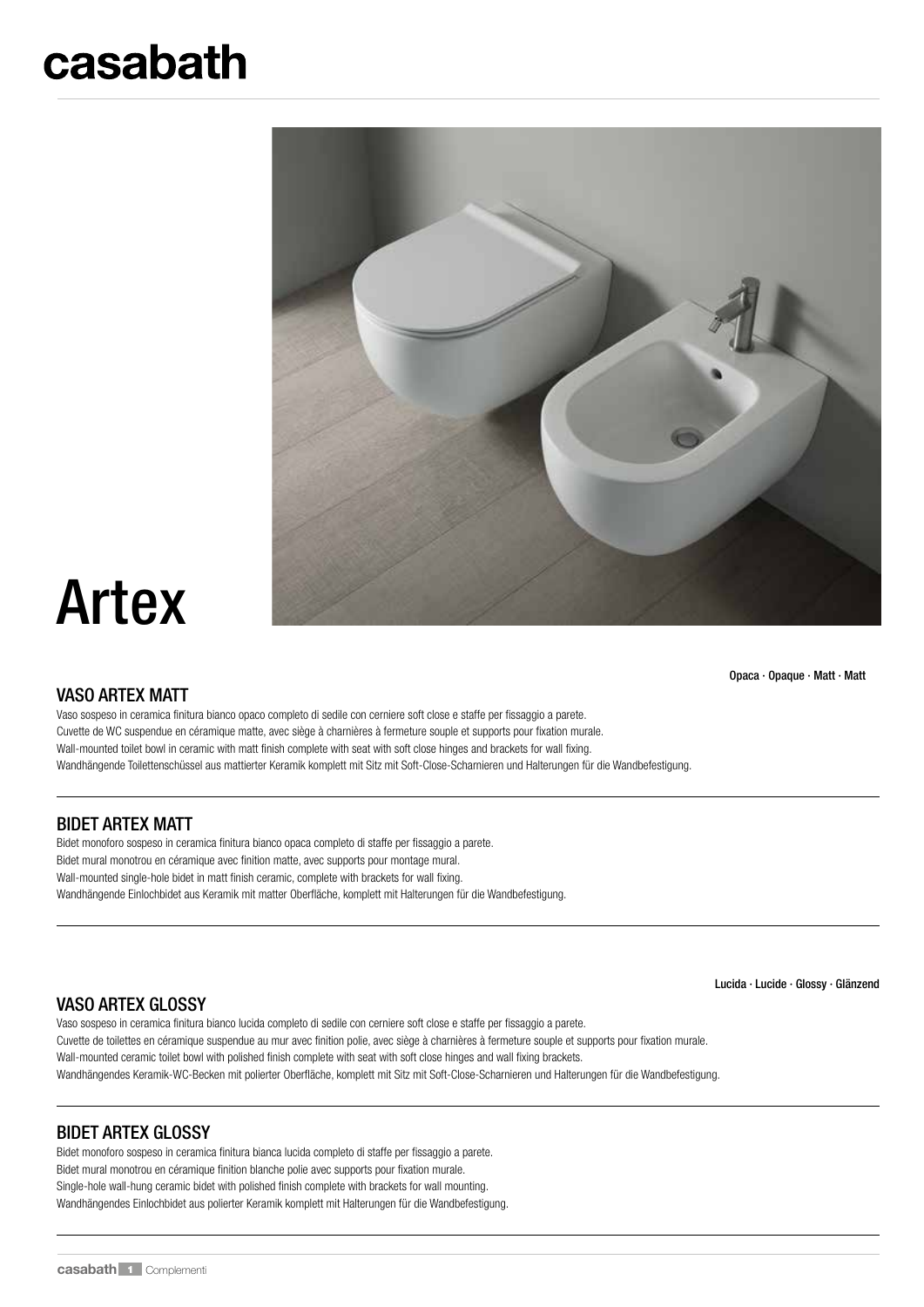### casabath



# Artex

VASO ARTEX MATT

Opaca · Opaque · Matt · Matt

Vaso sospeso in ceramica finitura bianco opaco completo di sedile con cerniere soft close e staffe per fissaggio a parete. Cuvette de WC suspendue en céramique matte, avec siège à charnières à fermeture souple et supports pour fixation murale. Wall-mounted toilet bowl in ceramic with matt finish complete with seat with soft close hinges and brackets for wall fixing. Wandhängende Toilettenschüssel aus mattierter Keramik komplett mit Sitz mit Soft-Close-Scharnieren und Halterungen für die Wandbefestigung.

#### BIDET ARTEX MATT

Bidet monoforo sospeso in ceramica finitura bianco opaca completo di staffe per fissaggio a parete. Bidet mural monotrou en céramique avec finition matte, avec supports pour montage mural. Wall-mounted single-hole bidet in matt finish ceramic, complete with brackets for wall fixing. Wandhängende Einlochbidet aus Keramik mit matter Oberfläche, komplett mit Halterungen für die Wandbefestigung.

Lucida · Lucide · Glossy · Glänzend

#### VASO ARTEX GLOSSY

Vaso sospeso in ceramica finitura bianco lucida completo di sedile con cerniere soft close e staffe per fissaggio a parete. Cuvette de toilettes en céramique suspendue au mur avec finition polie, avec siège à charnières à fermeture souple et supports pour fixation murale. Wall-mounted ceramic toilet bowl with polished finish complete with seat with soft close hinges and wall fixing brackets. Wandhängendes Keramik-WC-Becken mit polierter Oberfläche, komplett mit Sitz mit Soft-Close-Scharnieren und Halterungen für die Wandbefestigung.

#### BIDET ARTEX GLOSSY

Bidet monoforo sospeso in ceramica finitura bianca lucida completo di staffe per fissaggio a parete. Bidet mural monotrou en céramique finition blanche polie avec supports pour fixation murale. Single-hole wall-hung ceramic bidet with polished finish complete with brackets for wall mounting. Wandhängendes Einlochbidet aus polierter Keramik komplett mit Halterungen für die Wandbefestigung.